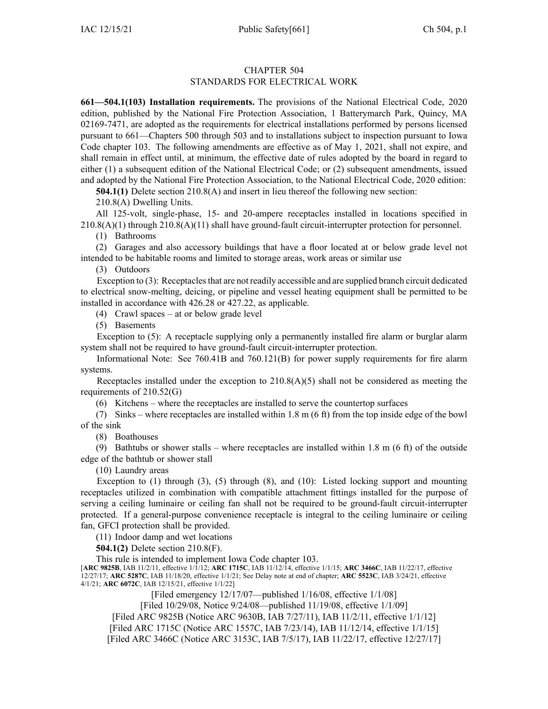## CHAPTER 504 STANDARDS FOR ELECTRICAL WORK

**661—504.1(103) Installation requirements.** The provisions of the National Electrical Code, 2020 edition, published by the National Fire Protection Association, 1 Batterymarch Park, Quincy, MA 02169-7471, are adopted as the requirements for electrical installations performed by persons licensed pursuan<sup>t</sup> to [661—Chapters](https://www.legis.iowa.gov/docs/iac/chapter/661.500.pdf) 500 through [503](https://www.legis.iowa.gov/docs/iac/chapter/661.503.pdf) and to installations subject to inspection pursuan<sup>t</sup> to Iowa Code chapter [103](https://www.legis.iowa.gov/docs/ico/chapter/103.pdf). The following amendments are effective as of May 1, 2021, shall not expire, and shall remain in effect until, at minimum, the effective date of rules adopted by the board in regard to either (1) <sup>a</sup> subsequent edition of the National Electrical Code; or (2) subsequent amendments, issued and adopted by the National Fire Protection Association, to the National Electrical Code, 2020 edition:

**504.1(1)** Delete section 210.8(A) and insert in lieu thereof the following new section:

210.8(A) Dwelling Units.

All 125-volt, single-phase, 15- and 20-ampere receptacles installed in locations specified in 210.8(A)(1) through 210.8(A)(11) shall have ground-fault circuit-interrupter protection for personnel.

(1) Bathrooms

(2) Garages and also accessory buildings that have <sup>a</sup> floor located at or below grade level not intended to be habitable rooms and limited to storage areas, work areas or similar use

(3) Outdoors

Exception to (3): Receptacles that are not readily accessible and are supplied branch circuit dedicated to electrical snow-melting, deicing, or pipeline and vessel heating equipment shall be permitted to be installed in accordance with 426.28 or 427.22, as applicable.

(4) Crawl spaces – at or below grade level

(5) Basements

Exception to (5): A receptacle supplying only <sup>a</sup> permanently installed fire alarm or burglar alarm system shall not be required to have ground-fault circuit-interrupter protection.

Informational Note: See 760.41B and 760.121(B) for power supply requirements for fire alarm systems.

Receptacles installed under the exception to  $210.8(A)(5)$  shall not be considered as meeting the requirements of 210.52(G)

(6) Kitchens – where the receptacles are installed to serve the countertop surfaces

(7) Sinks – where receptacles are installed within 1.8 <sup>m</sup> (6 ft) from the top inside edge of the bowl of the sink

(8) Boathouses

(9) Bathtubs or shower stalls – where receptacles are installed within 1.8 m (6 ft) of the outside edge of the bathtub or shower stall

(10) Laundry areas

Exception to (1) through (3), (5) through (8), and (10): Listed locking support and mounting receptacles utilized in combination with compatible attachment fittings installed for the purpose of serving <sup>a</sup> ceiling luminaire or ceiling fan shall not be required to be ground-fault circuit-interrupter protected. If <sup>a</sup> general-purpose convenience receptacle is integral to the ceiling luminaire or ceiling fan, GFCI protection shall be provided.

(11) Indoor damp and wet locations

**504.1(2)** Delete section 210.8(F).

This rule is intended to implement Iowa Code chapter [103](https://www.legis.iowa.gov/docs/ico/chapter/103.pdf).

[**ARC [9825B](https://www.legis.iowa.gov/docs/aco/arc/9825B.pdf)**, IAB 11/2/11, effective 1/1/12; **ARC [1715C](https://www.legis.iowa.gov/docs/aco/arc/1715C.pdf)**, IAB 11/12/14, effective 1/1/15; **ARC [3466C](https://www.legis.iowa.gov/docs/aco/arc/3466C.pdf)**, IAB 11/22/17, effective 12/27/17; **ARC [5287C](https://www.legis.iowa.gov/docs/aco/arc/5287C.pdf)**, IAB 11/18/20, effective 1/1/21; See Delay note at end of chapter; **ARC [5523C](https://www.legis.iowa.gov/docs/aco/arc/5523C.pdf)**, IAB 3/24/21, effective 4/1/21; **ARC [6072C](https://www.legis.iowa.gov/docs/aco/arc/6072C.pdf)**, IAB 12/15/21, effective 1/1/22]

[Filed emergency 12/17/07—published 1/16/08, effective 1/1/08]

[Filed 10/29/08, Notice 9/24/08—published 11/19/08, effective 1/1/09]

[[Filed](https://www.legis.iowa.gov/docs/aco/arc/9825B.pdf) ARC 9825B [\(Notice](https://www.legis.iowa.gov/docs/aco/arc/9630B.pdf) ARC 9630B, IAB 7/27/11), IAB 11/2/11, effective 1/1/12]

[[Filed](https://www.legis.iowa.gov/docs/aco/arc/1715C.pdf) ARC 1715C [\(Notice](https://www.legis.iowa.gov/docs/aco/arc/1557C.pdf) ARC 1557C, IAB 7/23/14), IAB 11/12/14, effective 1/1/15]

[Filed ARC [3466C](https://www.legis.iowa.gov/docs/aco/arc/3466C.pdf) ([Notice](https://www.legis.iowa.gov/docs/aco/arc/3153C.pdf) ARC 3153C, IAB 7/5/17), IAB 11/22/17, effective 12/27/17]